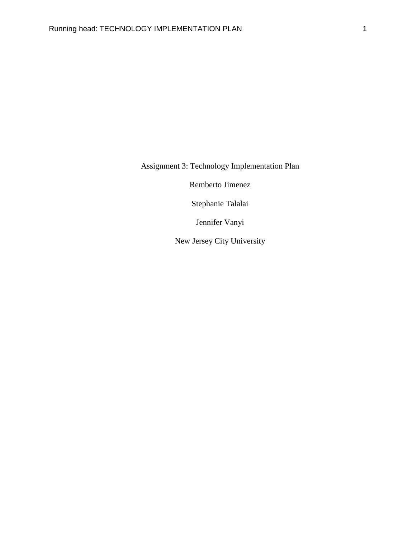Assignment 3: Technology Implementation Plan

Remberto Jimenez

Stephanie Talalai

Jennifer Vanyi

New Jersey City University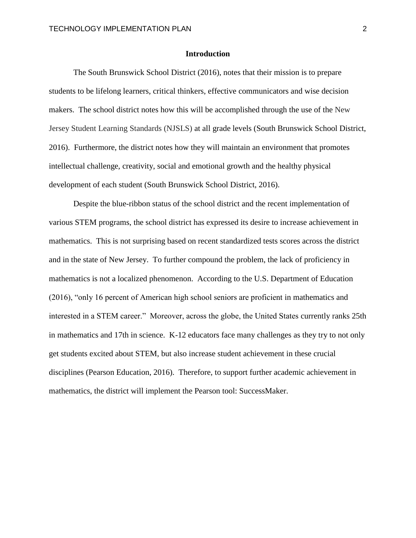## **Introduction**

The South Brunswick School District (2016), notes that their mission is to prepare students to be lifelong learners, critical thinkers, effective communicators and wise decision makers. The school district notes how this will be accomplished through the use of the New Jersey Student Learning Standards (NJSLS) at all grade levels (South Brunswick School District, 2016). Furthermore, the district notes how they will maintain an environment that promotes intellectual challenge, creativity, social and emotional growth and the healthy physical development of each student (South Brunswick School District, 2016).

Despite the blue-ribbon status of the school district and the recent implementation of various STEM programs, the school district has expressed its desire to increase achievement in mathematics. This is not surprising based on recent standardized tests scores across the district and in the state of New Jersey. To further compound the problem, the lack of proficiency in mathematics is not a localized phenomenon. According to the U.S. Department of Education (2016), "only 16 percent of American high school seniors are proficient in mathematics and interested in a STEM career." Moreover, across the globe, the United States currently ranks 25th in mathematics and 17th in science. K-12 educators face many challenges as they try to not only get students excited about STEM, but also increase student achievement in these crucial disciplines (Pearson Education, 2016). Therefore, to support further academic achievement in mathematics, the district will implement the Pearson tool: SuccessMaker.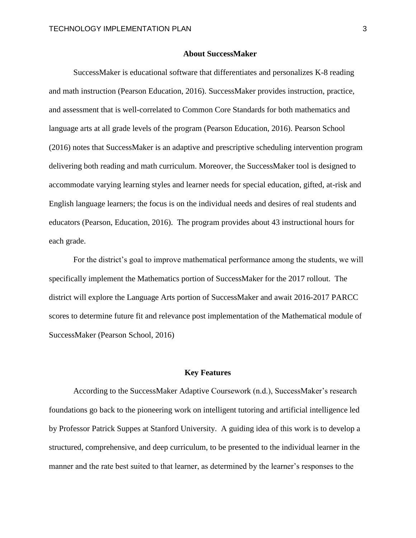## **About SuccessMaker**

SuccessMaker is educational software that differentiates and personalizes K-8 reading and math instruction (Pearson Education, 2016). SuccessMaker provides instruction, practice, and assessment that is well-correlated to Common Core Standards for both mathematics and language arts at all grade levels of the program (Pearson Education, 2016). Pearson School (2016) notes that SuccessMaker is an adaptive and prescriptive scheduling intervention program delivering both reading and math curriculum. Moreover, the SuccessMaker tool is designed to accommodate varying learning styles and learner needs for special education, gifted, at-risk and English language learners; the focus is on the individual needs and desires of real students and educators (Pearson, Education, 2016). The program provides about 43 instructional hours for each grade.

For the district's goal to improve mathematical performance among the students, we will specifically implement the Mathematics portion of SuccessMaker for the 2017 rollout. The district will explore the Language Arts portion of SuccessMaker and await 2016-2017 PARCC scores to determine future fit and relevance post implementation of the Mathematical module of SuccessMaker (Pearson School, 2016)

#### **Key Features**

According to the SuccessMaker Adaptive Coursework (n.d.), SuccessMaker's research foundations go back to the pioneering work on intelligent tutoring and artificial intelligence led by Professor Patrick Suppes at Stanford University. A guiding idea of this work is to develop a structured, comprehensive, and deep curriculum, to be presented to the individual learner in the manner and the rate best suited to that learner, as determined by the learner's responses to the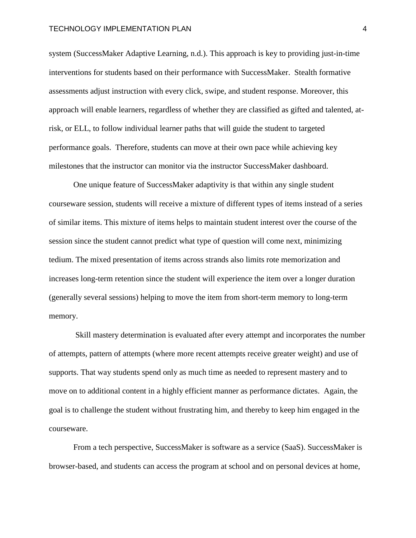system (SuccessMaker Adaptive Learning, n.d.). This approach is key to providing just-in-time interventions for students based on their performance with SuccessMaker. Stealth formative assessments adjust instruction with every click, swipe, and student response. Moreover, this approach will enable learners, regardless of whether they are classified as gifted and talented, atrisk, or ELL, to follow individual learner paths that will guide the student to targeted performance goals. Therefore, students can move at their own pace while achieving key milestones that the instructor can monitor via the instructor SuccessMaker dashboard.

One unique feature of SuccessMaker adaptivity is that within any single student courseware session, students will receive a mixture of different types of items instead of a series of similar items. This mixture of items helps to maintain student interest over the course of the session since the student cannot predict what type of question will come next, minimizing tedium. The mixed presentation of items across strands also limits rote memorization and increases long-term retention since the student will experience the item over a longer duration (generally several sessions) helping to move the item from short-term memory to long-term memory.

Skill mastery determination is evaluated after every attempt and incorporates the number of attempts, pattern of attempts (where more recent attempts receive greater weight) and use of supports. That way students spend only as much time as needed to represent mastery and to move on to additional content in a highly efficient manner as performance dictates. Again, the goal is to challenge the student without frustrating him, and thereby to keep him engaged in the courseware.

From a tech perspective, SuccessMaker is software as a service (SaaS). SuccessMaker is browser-based, and students can access the program at school and on personal devices at home,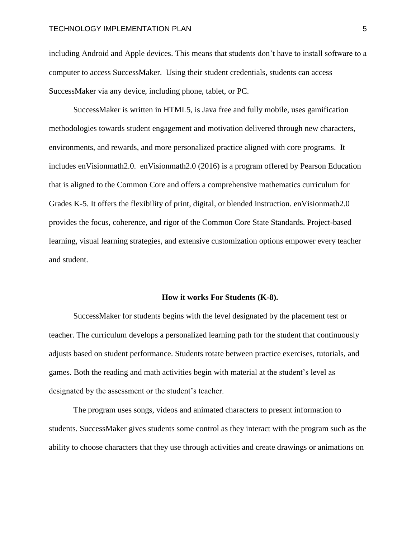including Android and Apple devices. This means that students don't have to install software to a computer to access SuccessMaker. Using their student credentials, students can access SuccessMaker via any device, including phone, tablet, or PC.

SuccessMaker is written in HTML5, is Java free and fully mobile, uses gamification methodologies towards student engagement and motivation delivered through new characters, environments, and rewards, and more personalized practice aligned with core programs. It includes enVisionmath2.0. enVisionmath2.0 (2016) is a program offered by Pearson Education that is aligned to the Common Core and offers a comprehensive mathematics curriculum for Grades K-5. It offers the flexibility of print, digital, or blended instruction. enVisionmath2.0 provides the focus, coherence, and rigor of the Common Core State Standards. Project-based learning, visual learning strategies, and extensive customization options empower every teacher and student.

#### **How it works For Students (K-8).**

SuccessMaker for students begins with the level designated by the placement test or teacher. The curriculum develops a personalized learning path for the student that continuously adjusts based on student performance. Students rotate between practice exercises, tutorials, and games. Both the reading and math activities begin with material at the student's level as designated by the assessment or the student's teacher.

The program uses songs, videos and animated characters to present information to students. SuccessMaker gives students some control as they interact with the program such as the ability to choose characters that they use through activities and create drawings or animations on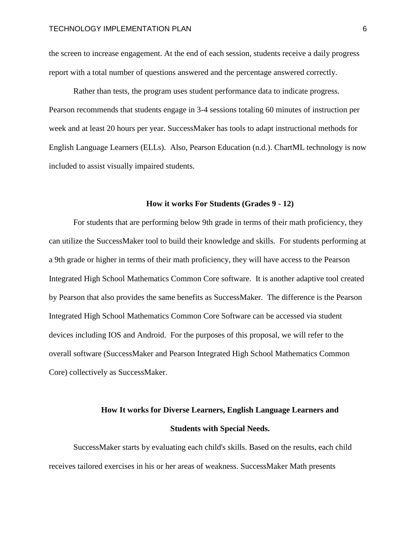the screen to increase engagement. At the end of each session, students receive a daily progress report with a total number of questions answered and the percentage answered correctly.

Rather than tests, the program uses student performance data to indicate progress. Pearson recommends that students engage in 3-4 sessions totaling 60 minutes of instruction per week and at least 20 hours per year. SuccessMaker has tools to adapt instructional methods for English Language Learners (ELLs). Also, Pearson Education (n.d.). ChartML technology is now included to assist visually impaired students.

## **How it works For Students (Grades 9 - 12)**

For students that are performing below 9th grade in terms of their math proficiency, they can utilize the SuccessMaker tool to build their knowledge and skills. For students performing at a 9th grade or higher in terms of their math proficiency, they will have access to the Pearson Integrated High School Mathematics Common Core software. It is another adaptive tool created by Pearson that also provides the same benefits as SuccessMaker. The difference is the Pearson Integrated High School Mathematics Common Core Software can be accessed via student devices including IOS and Android. For the purposes of this proposal, we will refer to the overall software (SuccessMaker and Pearson Integrated High School Mathematics Common Core) collectively as SuccessMaker.

# **How It works for Diverse Learners, English Language Learners and Students with Special Needs.**

SuccessMaker starts by evaluating each child's skills. Based on the results, each child receives tailored exercises in his or her areas of weakness. SuccessMaker Math presents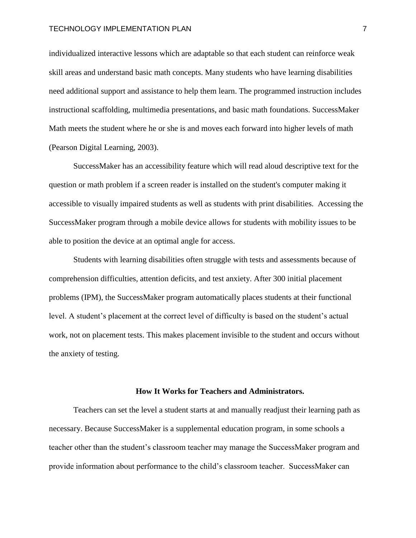individualized interactive lessons which are adaptable so that each student can reinforce weak skill areas and understand basic math concepts. Many students who have learning disabilities need additional support and assistance to help them learn. The programmed instruction includes instructional scaffolding, multimedia presentations, and basic math foundations. SuccessMaker Math meets the student where he or she is and moves each forward into higher levels of math (Pearson Digital Learning, 2003).

SuccessMaker has an accessibility feature which will read aloud descriptive text for the question or math problem if a screen reader is installed on the student's computer making it accessible to visually impaired students as well as students with print disabilities. Accessing the SuccessMaker program through a mobile device allows for students with mobility issues to be able to position the device at an optimal angle for access.

Students with learning disabilities often struggle with tests and assessments because of comprehension difficulties, attention deficits, and test anxiety. After 300 initial placement problems (IPM), the SuccessMaker program automatically places students at their functional level. A student's placement at the correct level of difficulty is based on the student's actual work, not on placement tests. This makes placement invisible to the student and occurs without the anxiety of testing.

## **How It Works for Teachers and Administrators.**

Teachers can set the level a student starts at and manually readjust their learning path as necessary. Because SuccessMaker is a supplemental education program, in some schools a teacher other than the student's classroom teacher may manage the SuccessMaker program and provide information about performance to the child's classroom teacher. SuccessMaker can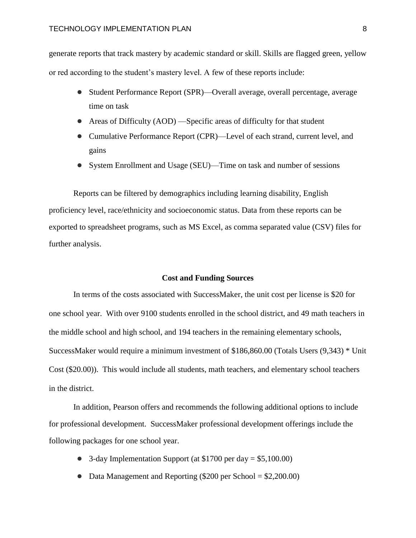generate reports that track mastery by academic standard or skill. Skills are flagged green, yellow or red according to the student's mastery level. A few of these reports include:

- Student Performance Report (SPR)—Overall average, overall percentage, average time on task
- Areas of Difficulty (AOD) —Specific areas of difficulty for that student
- Cumulative Performance Report (CPR)—Level of each strand, current level, and gains
- System Enrollment and Usage (SEU)—Time on task and number of sessions

Reports can be filtered by demographics including learning disability, English proficiency level, race/ethnicity and socioeconomic status. Data from these reports can be exported to spreadsheet programs, such as MS Excel, as comma separated value (CSV) files for further analysis.

# **Cost and Funding Sources**

In terms of the costs associated with SuccessMaker, the unit cost per license is \$20 for one school year. With over 9100 students enrolled in the school district, and 49 math teachers in the middle school and high school, and 194 teachers in the remaining elementary schools, SuccessMaker would require a minimum investment of \$186,860.00 (Totals Users (9,343) \* Unit Cost (\$20.00)). This would include all students, math teachers, and elementary school teachers in the district.

In addition, Pearson offers and recommends the following additional options to include for professional development. SuccessMaker professional development offerings include the following packages for one school year.

- 3-day Implementation Support (at \$1700 per day = \$5,100.00)
- Data Management and Reporting  $(\$200$  per School =  $\$2,200.00)$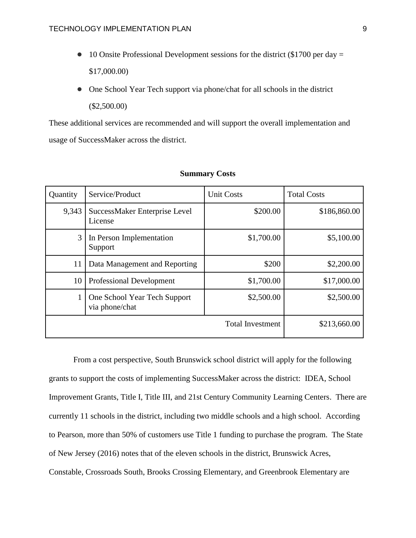- 10 Onsite Professional Development sessions for the district (\$1700 per day  $=$ \$17,000.00)
- One School Year Tech support via phone/chat for all schools in the district (\$2,500.00)

These additional services are recommended and will support the overall implementation and usage of SuccessMaker across the district.

| Quantity                | Service/Product                                | <b>Unit Costs</b> | <b>Total Costs</b> |
|-------------------------|------------------------------------------------|-------------------|--------------------|
| 9,343                   | SuccessMaker Enterprise Level<br>License       | \$200.00          | \$186,860.00       |
| 3                       | In Person Implementation<br>Support            | \$1,700.00        | \$5,100.00         |
| 11                      | Data Management and Reporting                  | \$200             | \$2,200.00         |
| 10                      | <b>Professional Development</b>                | \$1,700.00        | \$17,000.00        |
|                         | One School Year Tech Support<br>via phone/chat | \$2,500.00        | \$2,500.00         |
| <b>Total Investment</b> |                                                |                   | \$213,660.00       |

## **Summary Costs**

From a cost perspective, South Brunswick school district will apply for the following grants to support the costs of implementing SuccessMaker across the district: [IDEA,](http://www.pearsonschool.com/index.cfm?locator=PSZuF1) [School](http://www.pearsonschool.com/index.cfm?locator=PSZuEo)  [Improvement Grants,](http://www.pearsonschool.com/index.cfm?locator=PSZuEo) [Title I,](http://www.pearsonschool.com/index.cfm?locator=PSZuEd) [Title III,](http://www.pearsonschool.com/index.cfm?locator=PSZuEv) and [21st Century Community Learning Centers.](http://www.pearsonschool.com/index.cfm?locator=PSZuEy) There are currently 11 schools in the district, including two middle schools and a high school. According to Pearson, more than 50% of customers use Title 1 funding to purchase the program. The State of New Jersey (2016) notes that of the eleven schools in the district, Brunswick Acres, Constable, Crossroads South, Brooks Crossing Elementary, and Greenbrook Elementary are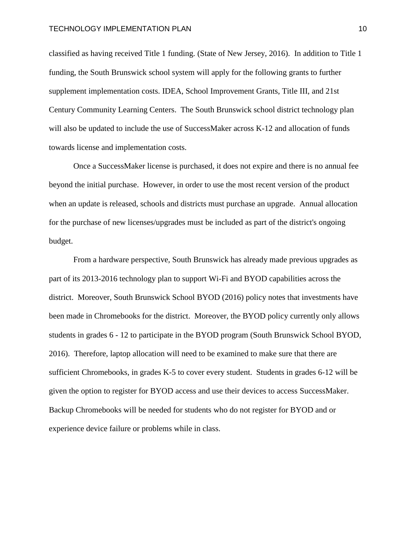classified as having received Title 1 funding. (State of New Jersey, 2016). In addition to Title 1 funding, the South Brunswick school system will apply for the following grants to further supplement implementation costs. [IDEA,](http://www.pearsonschool.com/index.cfm?locator=PSZuF1) [School Improvement Grants,](http://www.pearsonschool.com/index.cfm?locator=PSZuEo) [Title III,](http://www.pearsonschool.com/index.cfm?locator=PSZuEv) and [21st](http://www.pearsonschool.com/index.cfm?locator=PSZuEy)  [Century Community Learning Centers.](http://www.pearsonschool.com/index.cfm?locator=PSZuEy) The South Brunswick school district technology plan will also be updated to include the use of SuccessMaker across K-12 and allocation of funds towards license and implementation costs.

Once a SuccessMaker license is purchased, it does not expire and there is no annual fee beyond the initial purchase. However, in order to use the most recent version of the product when an update is released, schools and districts must purchase an upgrade. Annual allocation for the purchase of new licenses/upgrades must be included as part of the district's ongoing budget.

From a hardware perspective, South Brunswick has already made previous upgrades as part of its 2013-2016 technology plan to support Wi-Fi and BYOD capabilities across the district. Moreover, South Brunswick School BYOD (2016) policy notes that investments have been made in Chromebooks for the district. Moreover, the BYOD policy currently only allows students in grades 6 - 12 to participate in the BYOD program (South Brunswick School BYOD, 2016). Therefore, laptop allocation will need to be examined to make sure that there are sufficient Chromebooks, in grades K-5 to cover every student. Students in grades 6-12 will be given the option to register for BYOD access and use their devices to access SuccessMaker. Backup Chromebooks will be needed for students who do not register for BYOD and or experience device failure or problems while in class.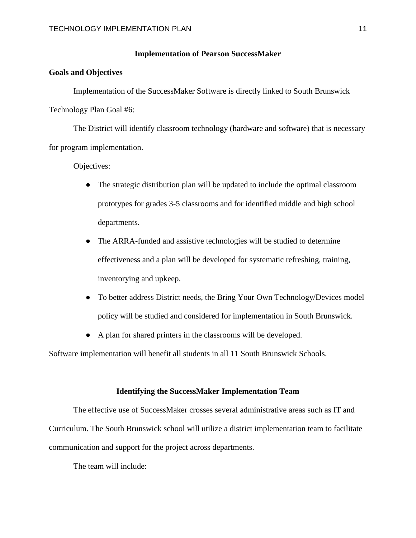# **Implementation of Pearson SuccessMaker**

# **Goals and Objectives**

Implementation of the SuccessMaker Software is directly linked to South Brunswick Technology Plan Goal #6:

The District will identify classroom technology (hardware and software) that is necessary for program implementation.

Objectives:

- The strategic distribution plan will be updated to include the optimal classroom prototypes for grades 3-5 classrooms and for identified middle and high school departments.
- The ARRA-funded and assistive technologies will be studied to determine effectiveness and a plan will be developed for systematic refreshing, training, inventorying and upkeep.
- To better address District needs, the Bring Your Own Technology/Devices model policy will be studied and considered for implementation in South Brunswick.
- A plan for shared printers in the classrooms will be developed.

Software implementation will benefit all students in all 11 South Brunswick Schools.

#### **Identifying the SuccessMaker Implementation Team**

The effective use of SuccessMaker crosses several administrative areas such as IT and Curriculum. The South Brunswick school will utilize a district implementation team to facilitate communication and support for the project across departments.

The team will include: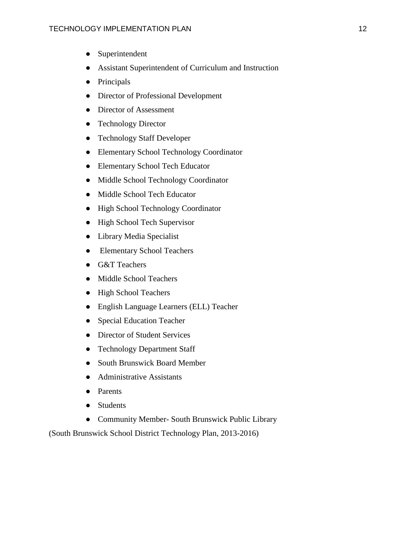- Superintendent
- Assistant Superintendent of Curriculum and Instruction
- Principals
- Director of Professional Development
- Director of Assessment
- Technology Director
- Technology Staff Developer
- Elementary School Technology Coordinator
- Elementary School Tech Educator
- Middle School Technology Coordinator
- Middle School Tech Educator
- High School Technology Coordinator
- High School Tech Supervisor
- Library Media Specialist
- Elementary School Teachers
- G&T Teachers
- Middle School Teachers
- High School Teachers
- English Language Learners (ELL) Teacher
- Special Education Teacher
- Director of Student Services
- Technology Department Staff
- South Brunswick Board Member
- Administrative Assistants
- Parents
- Students
- Community Member- South Brunswick Public Library

(South Brunswick School District Technology Plan, 2013-2016)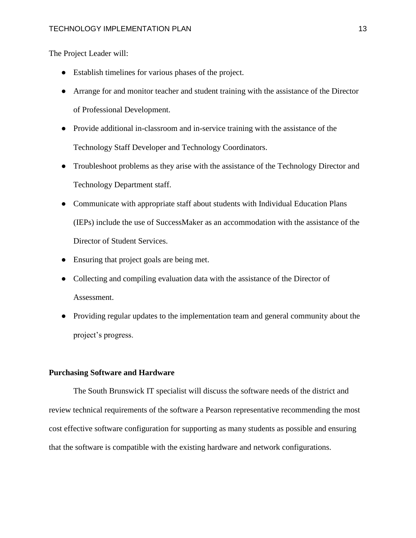The Project Leader will:

- Establish timelines for various phases of the project.
- Arrange for and monitor teacher and student training with the assistance of the Director of Professional Development.
- Provide additional in-classroom and in-service training with the assistance of the Technology Staff Developer and Technology Coordinators.
- Troubleshoot problems as they arise with the assistance of the Technology Director and Technology Department staff.
- Communicate with appropriate staff about students with Individual Education Plans (IEPs) include the use of SuccessMaker as an accommodation with the assistance of the Director of Student Services.
- Ensuring that project goals are being met.
- Collecting and compiling evaluation data with the assistance of the Director of Assessment.
- Providing regular updates to the implementation team and general community about the project's progress.

# **Purchasing Software and Hardware**

The South Brunswick IT specialist will discuss the software needs of the district and review technical requirements of the software a Pearson representative recommending the most cost effective software configuration for supporting as many students as possible and ensuring that the software is compatible with the existing hardware and network configurations.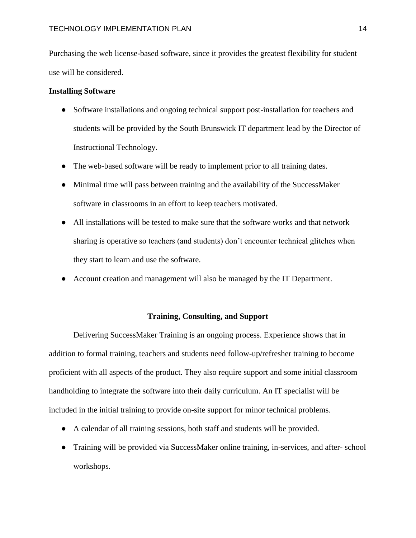Purchasing the web license-based software, since it provides the greatest flexibility for student use will be considered.

# **Installing Software**

- Software installations and ongoing technical support post-installation for teachers and students will be provided by the South Brunswick IT department lead by the Director of Instructional Technology.
- The web-based software will be ready to implement prior to all training dates.
- Minimal time will pass between training and the availability of the SuccessMaker software in classrooms in an effort to keep teachers motivated.
- All installations will be tested to make sure that the software works and that network sharing is operative so teachers (and students) don't encounter technical glitches when they start to learn and use the software.
- Account creation and management will also be managed by the IT Department.

# **Training, Consulting, and Support**

Delivering SuccessMaker Training is an ongoing process. Experience shows that in addition to formal training, teachers and students need follow-up/refresher training to become proficient with all aspects of the product. They also require support and some initial classroom handholding to integrate the software into their daily curriculum. An IT specialist will be included in the initial training to provide on-site support for minor technical problems.

- A calendar of all training sessions, both staff and students will be provided.
- Training will be provided via SuccessMaker online training, in-services, and after- school workshops.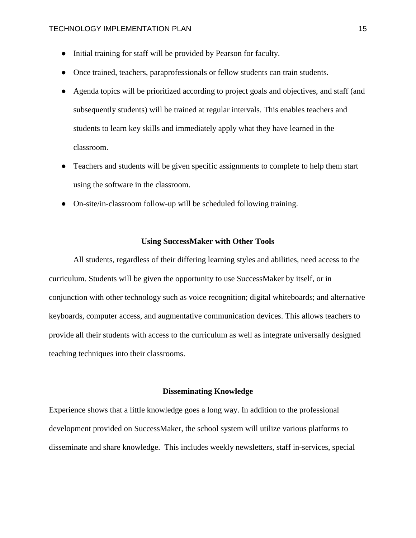- Initial training for staff will be provided by Pearson for faculty.
- Once trained, teachers, paraprofessionals or fellow students can train students.
- Agenda topics will be prioritized according to project goals and objectives, and staff (and subsequently students) will be trained at regular intervals. This enables teachers and students to learn key skills and immediately apply what they have learned in the classroom.
- Teachers and students will be given specific assignments to complete to help them start using the software in the classroom.
- On-site/in-classroom follow-up will be scheduled following training.

# **Using SuccessMaker with Other Tools**

All students, regardless of their differing learning styles and abilities, need access to the curriculum. Students will be given the opportunity to use SuccessMaker by itself, or in conjunction with other technology such as voice recognition; digital whiteboards; and alternative keyboards, computer access, and augmentative communication devices. This allows teachers to provide all their students with access to the curriculum as well as integrate universally designed teaching techniques into their classrooms.

#### **Disseminating Knowledge**

Experience shows that a little knowledge goes a long way. In addition to the professional development provided on SuccessMaker, the school system will utilize various platforms to disseminate and share knowledge. This includes weekly newsletters, staff in-services, special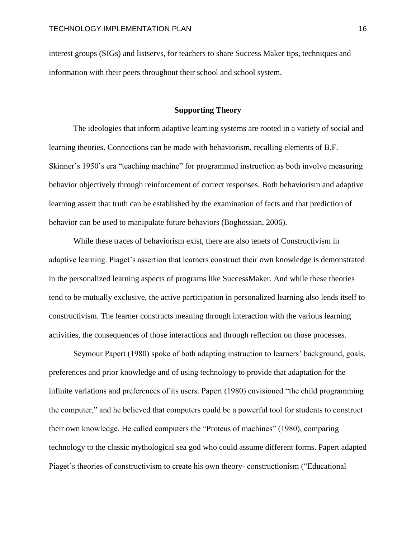interest groups (SIGs) and listservs, for teachers to share Success Maker tips, techniques and information with their peers throughout their school and school system.

# **Supporting Theory**

 The ideologies that inform adaptive learning systems are rooted in a variety of social and learning theories. Connections can be made with behaviorism, recalling elements of B.F. Skinner's 1950's era "teaching machine" for programmed instruction as both involve measuring behavior objectively through reinforcement of correct responses. Both behaviorism and adaptive learning assert that truth can be established by the examination of facts and that prediction of behavior can be used to manipulate future behaviors (Boghossian, 2006).

 While these traces of behaviorism exist, there are also tenets of Constructivism in adaptive learning. Piaget's assertion that learners construct their own knowledge is demonstrated in the personalized learning aspects of programs like SuccessMaker. And while these theories tend to be mutually exclusive, the active participation in personalized learning also lends itself to constructivism. The learner constructs meaning through interaction with the various learning activities, the consequences of those interactions and through reflection on those processes.

 Seymour Papert (1980) spoke of both adapting instruction to learners' background, goals, preferences and prior knowledge and of using technology to provide that adaptation for the infinite variations and preferences of its users. Papert (1980) envisioned "the child programming the computer," and he believed that computers could be a powerful tool for students to construct their own knowledge. He called computers the "Proteus of machines" (1980), comparing technology to the classic mythological sea god who could assume different forms. Papert adapted Piaget's theories of constructivism to create his own theory- constructionism ("Educational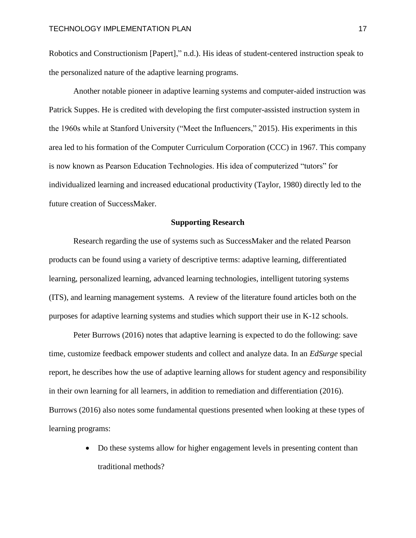Robotics and Constructionism [Papert]," n.d.). His ideas of student-centered instruction speak to the personalized nature of the adaptive learning programs.

 Another notable pioneer in adaptive learning systems and computer-aided instruction was Patrick Suppes. He is credited with developing the first computer-assisted instruction system in the 1960s while at Stanford University ("Meet the Influencers," 2015). His experiments in this area led to his formation of the Computer Curriculum Corporation (CCC) in 1967. This company is now known as Pearson Education Technologies. His idea of computerized "tutors" for individualized learning and increased educational productivity (Taylor, 1980) directly led to the future creation of SuccessMaker.

# **Supporting Research**

 Research regarding the use of systems such as SuccessMaker and the related Pearson products can be found using a variety of descriptive terms: adaptive learning, differentiated learning, personalized learning, advanced learning technologies, intelligent tutoring systems (ITS), and learning management systems. A review of the literature found articles both on the purposes for adaptive learning systems and studies which support their use in K-12 schools.

 Peter Burrows (2016) notes that adaptive learning is expected to do the following: save time, customize feedback empower students and collect and analyze data. In an *EdSurge* special report, he describes how the use of adaptive learning allows for student agency and responsibility in their own learning for all learners, in addition to remediation and differentiation (2016). Burrows (2016) also notes some fundamental questions presented when looking at these types of learning programs:

> Do these systems allow for higher engagement levels in presenting content than traditional methods?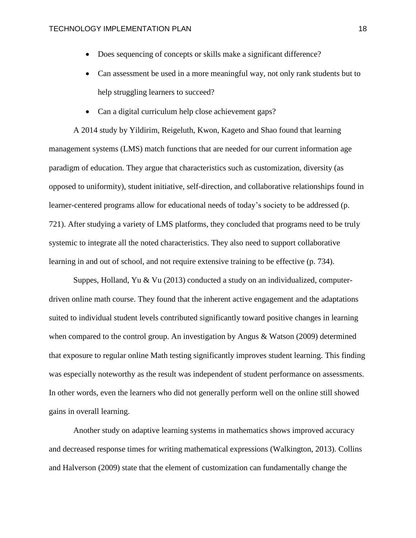- Does sequencing of concepts or skills make a significant difference?
- Can assessment be used in a more meaningful way, not only rank students but to help struggling learners to succeed?
- Can a digital curriculum help close achievement gaps?

 A 2014 study by Yildirim, Reigeluth, Kwon, Kageto and Shao found that learning management systems (LMS) match functions that are needed for our current information age paradigm of education. They argue that characteristics such as customization, diversity (as opposed to uniformity), student initiative, self-direction, and collaborative relationships found in learner-centered programs allow for educational needs of today's society to be addressed (p. 721). After studying a variety of LMS platforms, they concluded that programs need to be truly systemic to integrate all the noted characteristics. They also need to support collaborative learning in and out of school, and not require extensive training to be effective (p. 734).

 Suppes, Holland, Yu & Vu (2013) conducted a study on an individualized, computerdriven online math course. They found that the inherent active engagement and the adaptations suited to individual student levels contributed significantly toward positive changes in learning when compared to the control group. An investigation by Angus & Watson (2009) determined that exposure to regular online Math testing significantly improves student learning. This finding was especially noteworthy as the result was independent of student performance on assessments. In other words, even the learners who did not generally perform well on the online still showed gains in overall learning.

 Another study on adaptive learning systems in mathematics shows improved accuracy and decreased response times for writing mathematical expressions (Walkington, 2013). Collins and Halverson (2009) state that the element of customization can fundamentally change the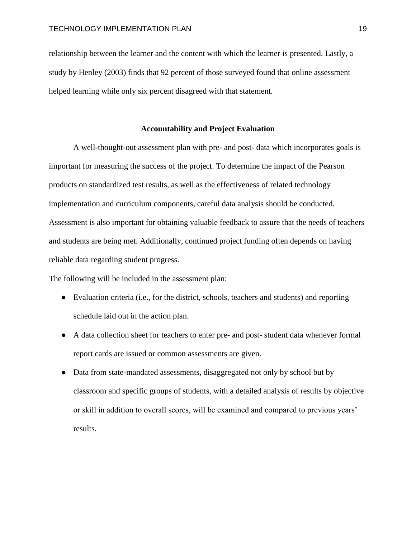relationship between the learner and the content with which the learner is presented. Lastly, a study by Henley (2003) finds that 92 percent of those surveyed found that online assessment helped learning while only six percent disagreed with that statement.

# **Accountability and Project Evaluation**

A well-thought-out assessment plan with pre- and post- data which incorporates goals is important for measuring the success of the project. To determine the impact of the Pearson products on standardized test results, as well as the effectiveness of related technology implementation and curriculum components, careful data analysis should be conducted. Assessment is also important for obtaining valuable feedback to assure that the needs of teachers and students are being met. Additionally, continued project funding often depends on having reliable data regarding student progress.

The following will be included in the assessment plan:

- Evaluation criteria (i.e., for the district, schools, teachers and students) and reporting schedule laid out in the action plan.
- A data collection sheet for teachers to enter pre- and post- student data whenever formal report cards are issued or common assessments are given.
- Data from state-mandated assessments, disaggregated not only by school but by classroom and specific groups of students, with a detailed analysis of results by objective or skill in addition to overall scores, will be examined and compared to previous years' results.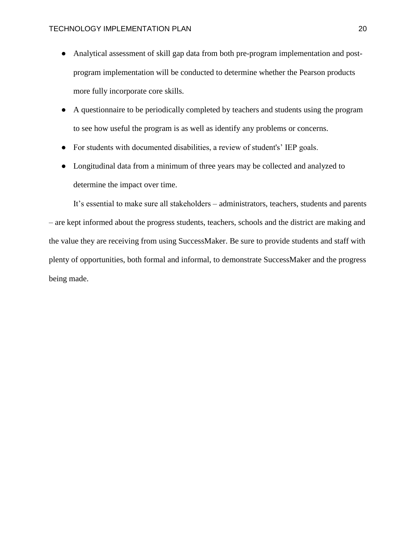- Analytical assessment of skill gap data from both pre-program implementation and postprogram implementation will be conducted to determine whether the Pearson products more fully incorporate core skills.
- A questionnaire to be periodically completed by teachers and students using the program to see how useful the program is as well as identify any problems or concerns.
- For students with documented disabilities, a review of student's' IEP goals.
- Longitudinal data from a minimum of three years may be collected and analyzed to determine the impact over time.

It's essential to make sure all stakeholders – administrators, teachers, students and parents – are kept informed about the progress students, teachers, schools and the district are making and the value they are receiving from using SuccessMaker. Be sure to provide students and staff with plenty of opportunities, both formal and informal, to demonstrate SuccessMaker and the progress being made.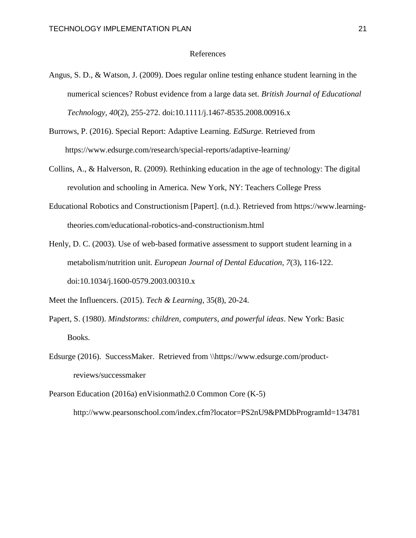# References

- Angus, S. D., & Watson, J. (2009). Does regular online testing enhance student learning in the numerical sciences? Robust evidence from a large data set. *British Journal of Educational Technology, 40*(2), 255-272. doi:10.1111/j.1467-8535.2008.00916.x
- Burrows, P. (2016). Special Report: Adaptive Learning. *EdSurge.* Retrieved from https://www.edsurge.com/research/special-reports/adaptive-learning/
- Collins, A., & Halverson, R. (2009). Rethinking education in the age of technology: The digital revolution and schooling in America. New York, NY: Teachers College Press
- Educational Robotics and Constructionism [Papert]. (n.d.). Retrieved from https://www.learningtheories.com/educational-robotics-and-constructionism.html
- Henly, D. C. (2003). Use of web-based formative assessment to support student learning in a metabolism/nutrition unit. *European Journal of Dental Education, 7*(3), 116-122. doi:10.1034/j.1600-0579.2003.00310.x

Meet the Influencers. (2015). *Tech & Learning*, 35(8), 20-24.

- Papert, S. (1980). *Mindstorms: children, computers, and powerful ideas*. New York: Basic Books.
- Edsurge (2016). SuccessMaker. Retrieved from \\https://www.edsurge.com/productreviews/successmaker
- Pearson Education (2016a) [enVisionmath2.0 Common Core \(K-5\)](http://www.pearsonschool.com/index.cfm?locator=PS2nU9&PMDBSOLUTIONID=6724&PMDBSITEID=2781&PMDBCATEGORYID=806&PMDBSUBSOLUTIONID=&PMDBSUBJECTAREAID=&PMDBSUBCATEGORYID=&PMDbProgramID=134781) http://www.pearsonschool.com/index.cfm?locator=PS2nU9&PMDbProgramId=134781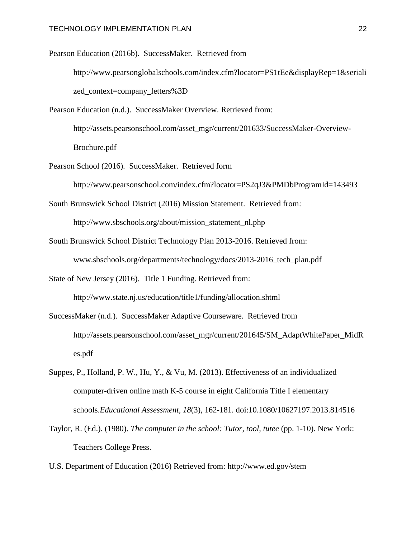Pearson Education (2016b). SuccessMaker. Retrieved from http://www.pearsonglobalschools.com/index.cfm?locator=PS1tEe&displayRep=1&seriali zed\_context=company\_letters%3D

Pearson Education (n.d.). SuccessMaker Overview. Retrieved from: http://assets.pearsonschool.com/asset\_mgr/current/201633/SuccessMaker-Overview-Brochure.pdf

Pearson School (2016). SuccessMaker. Retrieved form

http://www.pearsonschool.com/index.cfm?locator=PS2qJ3&PMDbProgramId=143493

- South Brunswick School District (2016) Mission Statement. Retrieved from: http://www.sbschools.org/about/mission\_statement\_nl.php
- South Brunswick School District Technology Plan 2013-2016. Retrieved from: www.sbschools.org/departments/technology/docs/2013-2016\_tech\_plan.pdf

State of New Jersey (2016). Title 1 Funding. Retrieved from:

http://www.state.nj.us/education/title1/funding/allocation.shtml

SuccessMaker (n.d.). SuccessMaker Adaptive Courseware. Retrieved from http://assets.pearsonschool.com/asset\_mgr/current/201645/SM\_AdaptWhitePaper\_MidR es.pdf

- Suppes, P., Holland, P. W., Hu, Y., & Vu, M. (2013). Effectiveness of an individualized computer-driven online math K-5 course in eight California Title I elementary schools.*Educational Assessment, 18*(3), 162-181. doi:10.1080/10627197.2013.814516
- Taylor, R. (Ed.). (1980). *The computer in the school: Tutor, tool, tutee* (pp. 1-10). New York: Teachers College Press.

U.S. Department of Education (2016) Retrieved from:<http://www.ed.gov/stem>